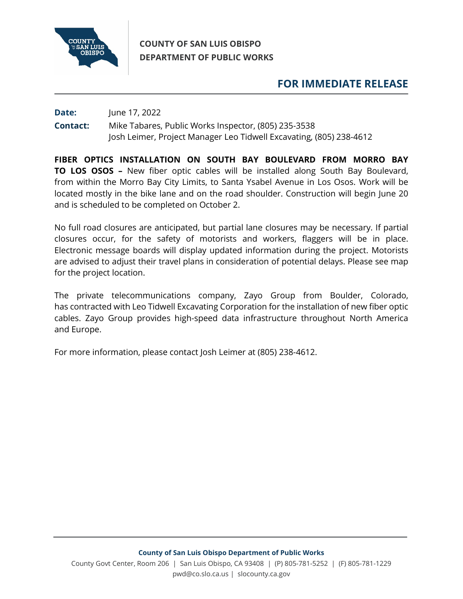

## **COUNTY OF SAN LUIS OBISPO DEPARTMENT OF PUBLIC WORKS**

## **FOR IMMEDIATE RELEASE**

## **Date:** June 17, 2022 **Contact:** Mike Tabares, Public Works Inspector, (805) 235-3538 Josh Leimer, Project Manager Leo Tidwell Excavating, (805) 238-4612

**FIBER OPTICS INSTALLATION ON SOUTH BAY BOULEVARD FROM MORRO BAY TO LOS OSOS –** New fiber optic cables will be installed along South Bay Boulevard, from within the Morro Bay City Limits, to Santa Ysabel Avenue in Los Osos. Work will be located mostly in the bike lane and on the road shoulder. Construction will begin June 20 and is scheduled to be completed on October 2.

No full road closures are anticipated, but partial lane closures may be necessary. If partial closures occur, for the safety of motorists and workers, flaggers will be in place. Electronic message boards will display updated information during the project. Motorists are advised to adjust their travel plans in consideration of potential delays. Please see map for the project location.

The private telecommunications company, Zayo Group from Boulder, Colorado, has contracted with Leo Tidwell Excavating Corporation for the installation of new fiber optic cables. Zayo Group provides high-speed data infrastructure throughout North America and Europe.

For more information, please contact Josh Leimer at (805) 238-4612.